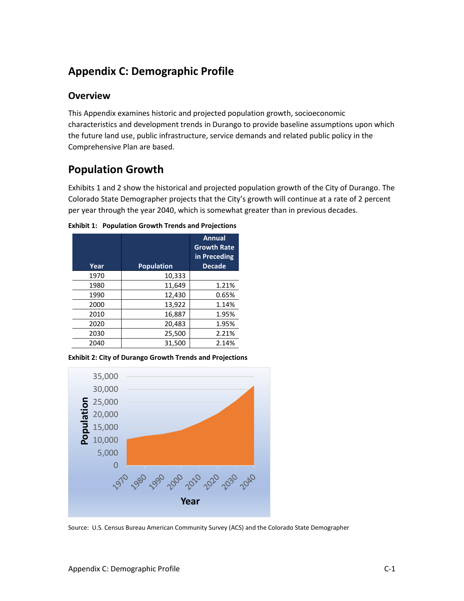# **Appendix C: Demographic Profile**

# **Overview**

This Appendix examines historic and projected population growth, socioeconomic characteristics and development trends in Durango to provide baseline assumptions upon which the future land use, public infrastructure, service demands and related public policy in the Comprehensive Plan are based.

# **Population Growth**

Exhibits 1 and 2 show the historical and projected population growth of the City of Durango. The Colorado State Demographer projects that the City's growth will continue at a rate of 2 percent per year through the year 2040, which is somewhat greater than in previous decades.

| Year | <b>Population</b> | Annual<br><b>Growth Rate</b><br>in Preceding<br><b>Decade</b> |
|------|-------------------|---------------------------------------------------------------|
| 1970 | 10,333            |                                                               |
| 1980 | 11,649            | 1.21%                                                         |
| 1990 | 12,430            | 0.65%                                                         |
| 2000 | 13,922            | 1.14%                                                         |
| 2010 | 16,887            | 1.95%                                                         |
| 2020 | 20,483            | 1.95%                                                         |
| 2030 | 25,500            | 2.21%                                                         |
| 2040 | 31,500            | 2.14%                                                         |

**Exhibit 1: Population Growth Trends and Projections**

**Exhibit 2: City of Durango Growth Trends and Projections**



Source: U.S. Census Bureau American Community Survey (ACS) and the Colorado State Demographer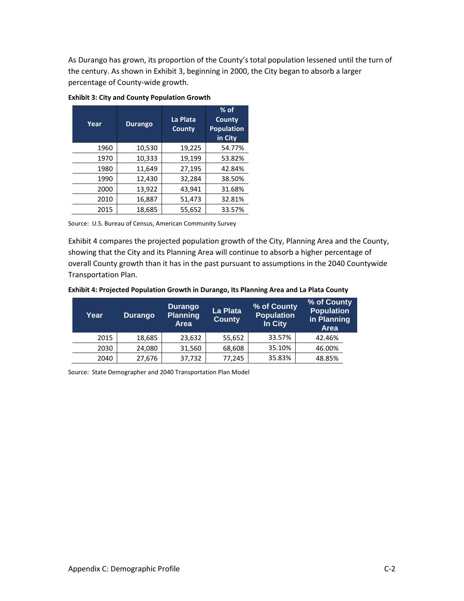As Durango has grown, its proportion of the County's total population lessened until the turn of the century. As shown in Exhibit 3, beginning in 2000, the City began to absorb a larger percentage of County-wide growth.

| Year | <b>Durango</b> | La Plata<br>County | $%$ of<br>County<br><b>Population</b><br>in City |
|------|----------------|--------------------|--------------------------------------------------|
| 1960 | 10,530         | 19,225             | 54.77%                                           |
| 1970 | 10,333         | 19,199             | 53.82%                                           |
| 1980 | 11,649         | 27,195             | 42.84%                                           |
| 1990 | 12,430         | 32,284             | 38.50%                                           |
| 2000 | 13,922         | 43,941             | 31.68%                                           |
| 2010 | 16,887         | 51,473             | 32.81%                                           |
| 2015 | 18,685         | 55,652             | 33.57%                                           |

### **Exhibit 3: City and County Population Growth**

Source: U.S. Bureau of Census, American Community Survey

Exhibit 4 compares the projected population growth of the City, Planning Area and the County, showing that the City and its Planning Area will continue to absorb a higher percentage of overall County growth than it has in the past pursuant to assumptions in the 2040 Countywide Transportation Plan.

|  | Exhibit 4: Projected Population Growth in Durango, Its Planning Area and La Plata County |  |  |
|--|------------------------------------------------------------------------------------------|--|--|
|  |                                                                                          |  |  |

| Year | <b>Durango</b> | Durango<br><b>Planning</b><br><b>Area</b> | La Plata<br><b>County</b> | % of County<br><b>Population</b><br>In City | % of County<br><b>Population</b><br>in Planning<br><b>Area</b> |
|------|----------------|-------------------------------------------|---------------------------|---------------------------------------------|----------------------------------------------------------------|
| 2015 | 18,685         | 23,632                                    | 55,652                    | 33.57%                                      | 42.46%                                                         |
| 2030 | 24,080         | 31,560                                    | 68,608                    | 35.10%                                      | 46.00%                                                         |
| 2040 | 27,676         | 37,732                                    | 77,245                    | 35.83%                                      | 48.85%                                                         |

Source: State Demographer and 2040 Transportation Plan Model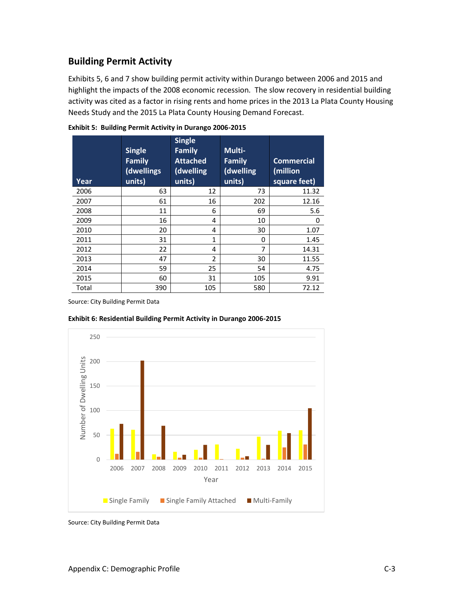# **Building Permit Activity**

Exhibits 5, 6 and 7 show building permit activity within Durango between 2006 and 2015 and highlight the impacts of the 2008 economic recession. The slow recovery in residential building activity was cited as a factor in rising rents and home prices in the 2013 La Plata County Housing Needs Study and the 2015 La Plata County Housing Demand Forecast.

| Year  | <b>Single</b><br><b>Family</b><br>(dwellings<br>units) | <b>Single</b><br><b>Family</b><br><b>Attached</b><br>(dwelling<br>units) | Multi-<br><b>Family</b><br>(dwelling<br>units) | <b>Commercial</b><br>(million<br>square feet) |
|-------|--------------------------------------------------------|--------------------------------------------------------------------------|------------------------------------------------|-----------------------------------------------|
| 2006  | 63                                                     | 12                                                                       | 73                                             | 11.32                                         |
| 2007  | 61                                                     | 16                                                                       | 202                                            | 12.16                                         |
| 2008  | 11                                                     | 6                                                                        | 69                                             | 5.6                                           |
| 2009  | 16                                                     | 4                                                                        | 10                                             | 0                                             |
| 2010  | 20                                                     | 4                                                                        | 30                                             | 1.07                                          |
| 2011  | 31                                                     | 1                                                                        | 0                                              | 1.45                                          |
| 2012  | 22                                                     | 4                                                                        | 7                                              | 14.31                                         |
| 2013  | 47                                                     | $\overline{\phantom{a}}$                                                 | 30                                             | 11.55                                         |
| 2014  | 59                                                     | 25                                                                       | 54                                             | 4.75                                          |
| 2015  | 60                                                     | 31                                                                       | 105                                            | 9.91                                          |
| Total | 390                                                    | 105                                                                      | 580                                            | 72.12                                         |

**Exhibit 5: Building Permit Activity in Durango 2006-2015**

Source: City Building Permit Data



**Exhibit 6: Residential Building Permit Activity in Durango 2006-2015**

Source: City Building Permit Data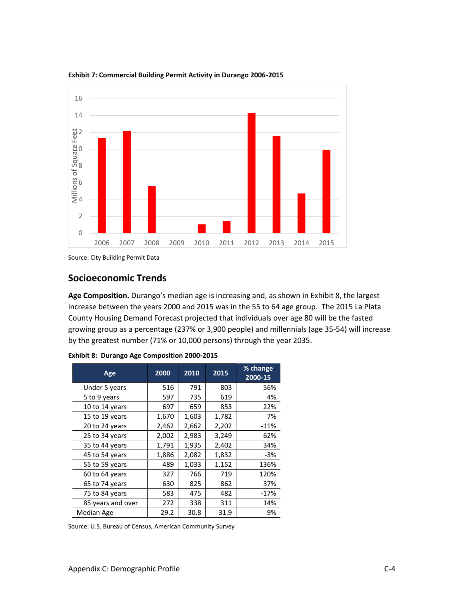

**Exhibit 7: Commercial Building Permit Activity in Durango 2006-2015**

Source: City Building Permit Data

## **Socioeconomic Trends**

**Age Composition.** Durango's median age is increasing and, as shown in Exhibit 8, the largest increase between the years 2000 and 2015 was in the 55 to 64 age group. The 2015 La Plata County Housing Demand Forecast projected that individuals over age 80 will be the fasted growing group as a percentage (237% or 3,900 people) and millennials (age 35-54) will increase by the greatest number (71% or 10,000 persons) through the year 2035.

| Age               | 2000  | 2010  | 2015  | % change<br>2000-15 |
|-------------------|-------|-------|-------|---------------------|
| Under 5 years     | 516   | 791   | 803   | 56%                 |
| 5 to 9 years      | 597   | 735   | 619   | 4%                  |
| 10 to 14 years    | 697   | 659   | 853   | 22%                 |
| 15 to 19 years    | 1,670 | 1,603 | 1,782 | 7%                  |
| 20 to 24 years    | 2,462 | 2,662 | 2,202 | $-11%$              |
| 25 to 34 years    | 2,002 | 2,983 | 3,249 | 62%                 |
| 35 to 44 years    | 1,791 | 1,935 | 2,402 | 34%                 |
| 45 to 54 years    | 1,886 | 2,082 | 1,832 | $-3%$               |
| 55 to 59 years    | 489   | 1,033 | 1,152 | 136%                |
| 60 to 64 years    | 327   | 766   | 719   | 120%                |
| 65 to 74 years    | 630   | 825   | 862   | 37%                 |
| 75 to 84 years    | 583   | 475   | 482   | $-17%$              |
| 85 years and over | 272   | 338   | 311   | 14%                 |
| Median Age        | 29.2  | 30.8  | 31.9  | 9%                  |

**Exhibit 8: Durango Age Composition 2000-2015**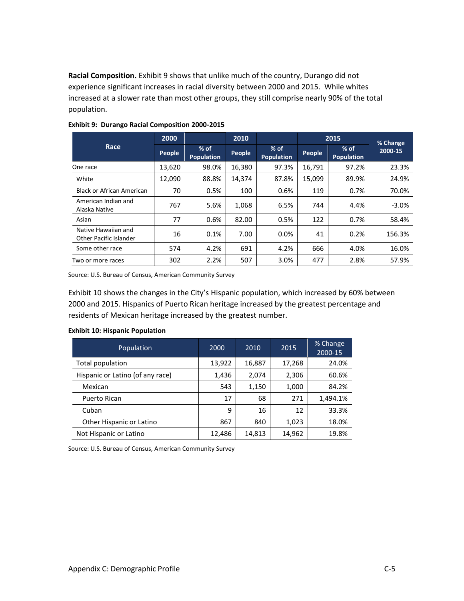**Racial Composition.** Exhibit 9 shows that unlike much of the country, Durango did not experience significant increases in racial diversity between 2000 and 2015. While whites increased at a slower rate than most other groups, they still comprise nearly 90% of the total population.

|                                               | 2000   |                             | 2010   |                             | 2015   |                             | % Change |
|-----------------------------------------------|--------|-----------------------------|--------|-----------------------------|--------|-----------------------------|----------|
| Race                                          | People | $%$ of<br><b>Population</b> | People | $%$ of<br><b>Population</b> | People | $%$ of<br><b>Population</b> | 2000-15  |
| One race                                      | 13,620 | 98.0%                       | 16,380 | 97.3%                       | 16,791 | 97.2%                       | 23.3%    |
| White                                         | 12,090 | 88.8%                       | 14,374 | 87.8%                       | 15.099 | 89.9%                       | 24.9%    |
| Black or African American                     | 70     | 0.5%                        | 100    | 0.6%                        | 119    | 0.7%                        | 70.0%    |
| American Indian and<br>Alaska Native          | 767    | 5.6%                        | 1,068  | 6.5%                        | 744    | 4.4%                        | $-3.0%$  |
| Asian                                         | 77     | 0.6%                        | 82.00  | 0.5%                        | 122    | 0.7%                        | 58.4%    |
| Native Hawaiian and<br>Other Pacific Islander | 16     | 0.1%                        | 7.00   | $0.0\%$                     | 41     | 0.2%                        | 156.3%   |
| Some other race                               | 574    | 4.2%                        | 691    | 4.2%                        | 666    | 4.0%                        | 16.0%    |
| Two or more races                             | 302    | 2.2%                        | 507    | 3.0%                        | 477    | 2.8%                        | 57.9%    |

### **Exhibit 9: Durango Racial Composition 2000-2015**

Source: U.S. Bureau of Census, American Community Survey

Exhibit 10 shows the changes in the City's Hispanic population, which increased by 60% between 2000 and 2015. Hispanics of Puerto Rican heritage increased by the greatest percentage and residents of Mexican heritage increased by the greatest number.

| Population                       | 2000   | 2010   | 2015   | % Change<br>2000-15 |
|----------------------------------|--------|--------|--------|---------------------|
| Total population                 | 13,922 | 16,887 | 17,268 | 24.0%               |
| Hispanic or Latino (of any race) | 1,436  | 2,074  | 2,306  | 60.6%               |
| Mexican                          | 543    | 1,150  | 1,000  | 84.2%               |
| Puerto Rican                     | 17     | 68     | 271    | 1,494.1%            |
| Cuban                            | 9      | 16     | 12     | 33.3%               |
| Other Hispanic or Latino         | 867    | 840    | 1,023  | 18.0%               |
| Not Hispanic or Latino           | 12,486 | 14,813 | 14,962 | 19.8%               |

#### **Exhibit 10: Hispanic Population**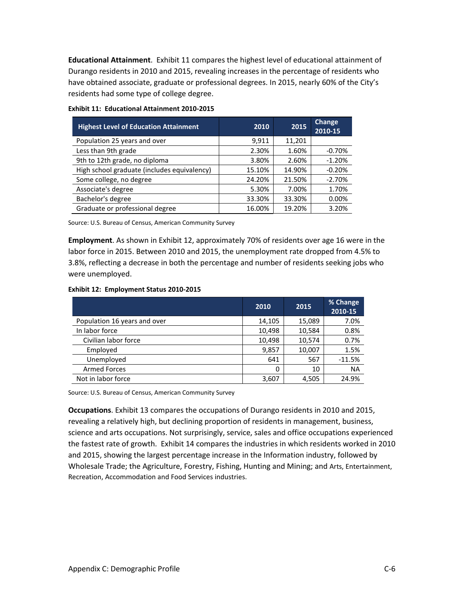**Educational Attainment**. Exhibit 11 compares the highest level of educational attainment of Durango residents in 2010 and 2015, revealing increases in the percentage of residents who have obtained associate, graduate or professional degrees. In 2015, nearly 60% of the City's residents had some type of college degree.

| <b>Highest Level of Education Attainment</b> | 2010   | 2015   | Change<br>2010-15 |
|----------------------------------------------|--------|--------|-------------------|
| Population 25 years and over                 | 9,911  | 11,201 |                   |
| Less than 9th grade                          | 2.30%  | 1.60%  | $-0.70%$          |
| 9th to 12th grade, no diploma                | 3.80%  | 2.60%  | $-1.20%$          |
| High school graduate (includes equivalency)  | 15.10% | 14.90% | $-0.20%$          |
| Some college, no degree                      | 24.20% | 21.50% | $-2.70%$          |
| Associate's degree                           | 5.30%  | 7.00%  | 1.70%             |
| Bachelor's degree                            | 33.30% | 33.30% | 0.00%             |
| Graduate or professional degree              | 16.00% | 19.20% | 3.20%             |

|  | <b>Exhibit 11: Educational Attainment 2010-2015</b> |  |  |
|--|-----------------------------------------------------|--|--|
|--|-----------------------------------------------------|--|--|

Source: U.S. Bureau of Census, American Community Survey

**Employment**. As shown in Exhibit 12, approximately 70% of residents over age 16 were in the labor force in 2015. Between 2010 and 2015, the unemployment rate dropped from 4.5% to 3.8%, reflecting a decrease in both the percentage and number of residents seeking jobs who were unemployed.

|  | Exhibit 12: Employment Status 2010-2015 |  |
|--|-----------------------------------------|--|
|--|-----------------------------------------|--|

|                              | 2010     | 2015   | % Change<br>2010-15 |
|------------------------------|----------|--------|---------------------|
| Population 16 years and over | 14,105   | 15,089 | 7.0%                |
| In labor force               | 10,498   | 10,584 | 0.8%                |
| Civilian labor force         | 10,498   | 10,574 | 0.7%                |
| Employed                     | 9,857    | 10,007 | 1.5%                |
| Unemployed                   | 641      | 567    | $-11.5%$            |
| <b>Armed Forces</b>          | $\Omega$ | 10     | <b>NA</b>           |
| Not in labor force           | 3,607    | 4,505  | 24.9%               |

Source: U.S. Bureau of Census, American Community Survey

**Occupations**. Exhibit 13 compares the occupations of Durango residents in 2010 and 2015, revealing a relatively high, but declining proportion of residents in management, business, science and arts occupations. Not surprisingly, service, sales and office occupations experienced the fastest rate of growth. Exhibit 14 compares the industries in which residents worked in 2010 and 2015, showing the largest percentage increase in the Information industry, followed by Wholesale Trade; the Agriculture, Forestry, Fishing, Hunting and Mining; and Arts, Entertainment, Recreation, Accommodation and Food Services industries.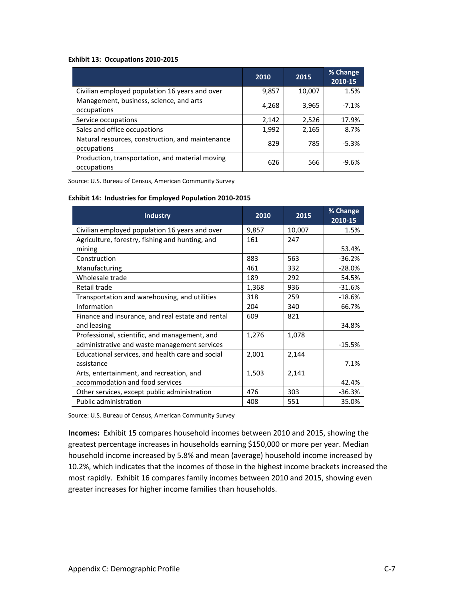#### **Exhibit 13: Occupations 2010-2015**

|                                                                 | 2010  | 2015   | % Change<br>2010-15 |
|-----------------------------------------------------------------|-------|--------|---------------------|
| Civilian employed population 16 years and over                  | 9,857 | 10,007 | 1.5%                |
| Management, business, science, and arts<br>occupations          | 4,268 | 3,965  | $-7.1%$             |
| Service occupations                                             | 2,142 | 2.526  | 17.9%               |
| Sales and office occupations                                    | 1,992 | 2,165  | 8.7%                |
| Natural resources, construction, and maintenance<br>occupations | 829   | 785    | $-5.3%$             |
| Production, transportation, and material moving<br>occupations  | 626   | 566    | $-9.6%$             |

Source: U.S. Bureau of Census, American Community Survey

#### **Exhibit 14: Industries for Employed Population 2010-2015**

| <b>Industry</b>                                   | 2010  | 2015   | % Change<br>2010-15 |
|---------------------------------------------------|-------|--------|---------------------|
| Civilian employed population 16 years and over    | 9,857 | 10,007 | 1.5%                |
| Agriculture, forestry, fishing and hunting, and   | 161   | 247    |                     |
| mining                                            |       |        | 53.4%               |
| Construction                                      | 883   | 563    | $-36.2%$            |
| Manufacturing                                     | 461   | 332    | $-28.0%$            |
| Wholesale trade                                   | 189   | 292    | 54.5%               |
| Retail trade                                      | 1,368 | 936    | $-31.6%$            |
| Transportation and warehousing, and utilities     | 318   | 259    | $-18.6%$            |
| Information                                       | 204   | 340    | 66.7%               |
| Finance and insurance, and real estate and rental | 609   | 821    |                     |
| and leasing                                       |       |        | 34.8%               |
| Professional, scientific, and management, and     | 1,276 | 1,078  |                     |
| administrative and waste management services      |       |        | $-15.5%$            |
| Educational services, and health care and social  | 2,001 | 2,144  |                     |
| assistance                                        |       |        | 7.1%                |
| Arts, entertainment, and recreation, and          | 1,503 | 2,141  |                     |
| accommodation and food services                   |       |        | 42.4%               |
| Other services, except public administration      | 476   | 303    | $-36.3%$            |
| <b>Public administration</b>                      | 408   | 551    | 35.0%               |

Source: U.S. Bureau of Census, American Community Survey

**Incomes:** Exhibit 15 compares household incomes between 2010 and 2015, showing the greatest percentage increases in households earning \$150,000 or more per year. Median household income increased by 5.8% and mean (average) household income increased by 10.2%, which indicates that the incomes of those in the highest income brackets increased the most rapidly. Exhibit 16 compares family incomes between 2010 and 2015, showing even greater increases for higher income families than households.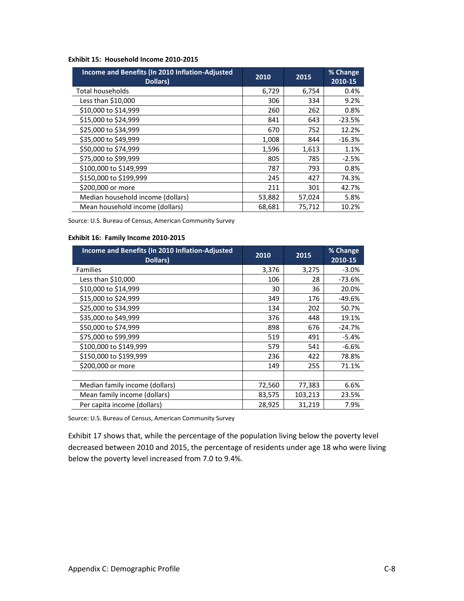|  | Exhibit 15: Household Income 2010-2015 |  |  |
|--|----------------------------------------|--|--|
|--|----------------------------------------|--|--|

| Income and Benefits (In 2010 Inflation-Adjusted<br>Dollars) | 2010   | 2015   | % Change<br>2010-15 |
|-------------------------------------------------------------|--------|--------|---------------------|
| <b>Total households</b>                                     | 6,729  | 6,754  | 0.4%                |
| Less than $$10,000$                                         | 306    | 334    | 9.2%                |
| \$10,000 to \$14,999                                        | 260    | 262    | 0.8%                |
| \$15,000 to \$24,999                                        | 841    | 643    | $-23.5%$            |
| \$25,000 to \$34,999                                        | 670    | 752    | 12.2%               |
| \$35,000 to \$49,999                                        | 1,008  | 844    | $-16.3%$            |
| \$50,000 to \$74,999                                        | 1,596  | 1,613  | 1.1%                |
| \$75,000 to \$99,999                                        | 805    | 785    | $-2.5%$             |
| \$100,000 to \$149,999                                      | 787    | 793    | 0.8%                |
| \$150,000 to \$199,999                                      | 245    | 427    | 74.3%               |
| \$200,000 or more                                           | 211    | 301    | 42.7%               |
| Median household income (dollars)                           | 53,882 | 57,024 | 5.8%                |
| Mean household income (dollars)                             | 68,681 | 75,712 | 10.2%               |

### **Exhibit 16: Family Income 2010-2015**

| Income and Benefits (In 2010 Inflation-Adjusted<br>Dollars) | 2010   | 2015    | % Change<br>2010-15 |
|-------------------------------------------------------------|--------|---------|---------------------|
| <b>Families</b>                                             | 3,376  | 3,275   | $-3.0%$             |
| Less than \$10,000                                          | 106    | 28      | -73.6%              |
| \$10,000 to \$14,999                                        | 30     | 36      | 20.0%               |
| \$15,000 to \$24,999                                        | 349    | 176     | $-49.6%$            |
| \$25,000 to \$34,999                                        | 134    | 202     | 50.7%               |
| \$35,000 to \$49,999                                        | 376    | 448     | 19.1%               |
| \$50,000 to \$74,999                                        | 898    | 676     | $-24.7%$            |
| \$75,000 to \$99,999                                        | 519    | 491     | $-5.4%$             |
| \$100,000 to \$149,999                                      | 579    | 541     | $-6.6%$             |
| \$150,000 to \$199,999                                      | 236    | 422     | 78.8%               |
| \$200,000 or more                                           | 149    | 255     | 71.1%               |
|                                                             |        |         |                     |
| Median family income (dollars)                              | 72,560 | 77,383  | 6.6%                |
| Mean family income (dollars)                                | 83,575 | 103,213 | 23.5%               |
| Per capita income (dollars)                                 | 28,925 | 31,219  | 7.9%                |

Source: U.S. Bureau of Census, American Community Survey

Exhibit 17 shows that, while the percentage of the population living below the poverty level decreased between 2010 and 2015, the percentage of residents under age 18 who were living below the poverty level increased from 7.0 to 9.4%.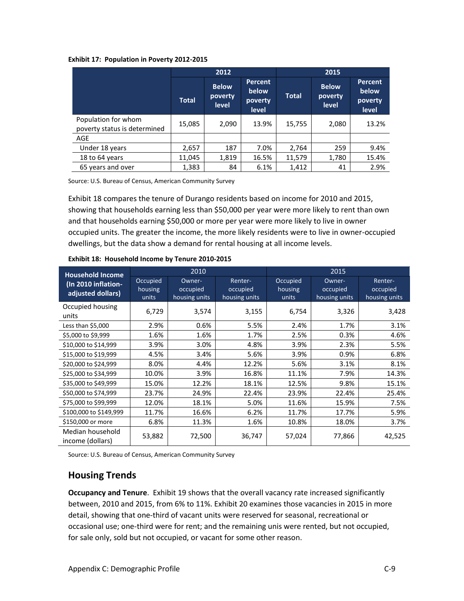#### **Exhibit 17: Population in Poverty 2012-2015**

|                                                     | 2012         |                                         |                                                    | 2015         |                                         |                                             |
|-----------------------------------------------------|--------------|-----------------------------------------|----------------------------------------------------|--------------|-----------------------------------------|---------------------------------------------|
|                                                     | <b>Total</b> | <b>Below</b><br>poverty<br><b>level</b> | <b>Percent</b><br>below<br>poverty<br><b>level</b> | <b>Total</b> | <b>Below</b><br>poverty<br><b>level</b> | <b>Percent</b><br>below<br>poverty<br>level |
| Population for whom<br>poverty status is determined | 15,085       | 2,090                                   | 13.9%                                              | 15,755       | 2,080                                   | 13.2%                                       |
| AGE                                                 |              |                                         |                                                    |              |                                         |                                             |
| Under 18 years                                      | 2,657        | 187                                     | 7.0%                                               | 2,764        | 259                                     | 9.4%                                        |
| 18 to 64 years                                      | 11,045       | 1,819                                   | 16.5%                                              | 11,579       | 1,780                                   | 15.4%                                       |
| 65 years and over                                   | 1,383        | 84                                      | 6.1%                                               | 1,412        | 41                                      | 2.9%                                        |

Source: U.S. Bureau of Census, American Community Survey

Exhibit 18 compares the tenure of Durango residents based on income for 2010 and 2015, showing that households earning less than \$50,000 per year were more likely to rent than own and that households earning \$50,000 or more per year were more likely to live in owner occupied units. The greater the income, the more likely residents were to live in owner-occupied dwellings, but the data show a demand for rental housing at all income levels.

| <b>Household Income</b>                  | 2010                         |                                     | 2015                                 |                              |                                     |                                      |
|------------------------------------------|------------------------------|-------------------------------------|--------------------------------------|------------------------------|-------------------------------------|--------------------------------------|
| (In 2010 inflation-<br>adjusted dollars) | Occupied<br>housing<br>units | Owner-<br>occupied<br>housing units | Renter-<br>occupied<br>housing units | Occupied<br>housing<br>units | Owner-<br>occupied<br>housing units | Renter-<br>occupied<br>housing units |
| Occupied housing<br>units                | 6,729                        | 3,574                               | 3,155                                | 6,754                        | 3,326                               | 3,428                                |
| Less than \$5,000                        | 2.9%                         | 0.6%                                | 5.5%                                 | 2.4%                         | 1.7%                                | 3.1%                                 |
| \$5,000 to \$9,999                       | 1.6%                         | 1.6%                                | 1.7%                                 | 2.5%                         | 0.3%                                | 4.6%                                 |
| \$10,000 to \$14,999                     | 3.9%                         | 3.0%                                | 4.8%                                 | 3.9%                         | 2.3%                                | 5.5%                                 |
| \$15,000 to \$19,999                     | 4.5%                         | 3.4%                                | 5.6%                                 | 3.9%                         | 0.9%                                | 6.8%                                 |
| \$20,000 to \$24,999                     | 8.0%                         | 4.4%                                | 12.2%                                | 5.6%                         | 3.1%                                | 8.1%                                 |
| \$25,000 to \$34,999                     | 10.0%                        | 3.9%                                | 16.8%                                | 11.1%                        | 7.9%                                | 14.3%                                |
| \$35,000 to \$49,999                     | 15.0%                        | 12.2%                               | 18.1%                                | 12.5%                        | 9.8%                                | 15.1%                                |
| \$50,000 to \$74,999                     | 23.7%                        | 24.9%                               | 22.4%                                | 23.9%                        | 22.4%                               | 25.4%                                |
| \$75,000 to \$99,999                     | 12.0%                        | 18.1%                               | 5.0%                                 | 11.6%                        | 15.9%                               | 7.5%                                 |
| \$100,000 to \$149,999                   | 11.7%                        | 16.6%                               | 6.2%                                 | 11.7%                        | 17.7%                               | 5.9%                                 |
| \$150,000 or more                        | 6.8%                         | 11.3%                               | 1.6%                                 | 10.8%                        | 18.0%                               | 3.7%                                 |
| Median household<br>income (dollars)     | 53,882                       | 72,500                              | 36,747                               | 57,024                       | 77,866                              | 42,525                               |

**Exhibit 18: Household Income by Tenure 2010-2015**

Source: U.S. Bureau of Census, American Community Survey

# **Housing Trends**

**Occupancy and Tenure**. Exhibit 19 shows that the overall vacancy rate increased significantly between, 2010 and 2015, from 6% to 11%. Exhibit 20 examines those vacancies in 2015 in more detail, showing that one-third of vacant units were reserved for seasonal, recreational or occasional use; one-third were for rent; and the remaining unis were rented, but not occupied, for sale only, sold but not occupied, or vacant for some other reason.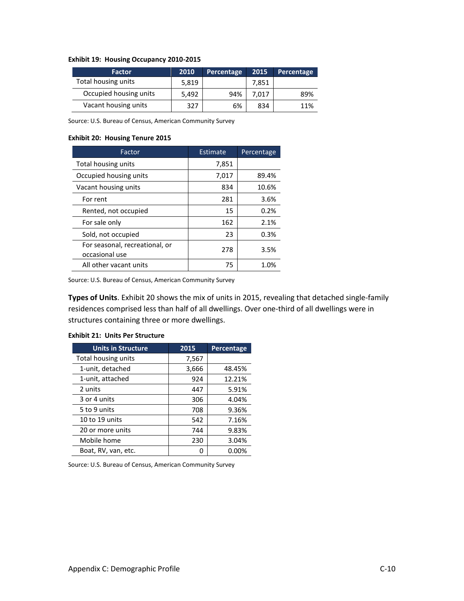|  |  | Exhibit 19: Housing Occupancy 2010-2015 |  |
|--|--|-----------------------------------------|--|
|--|--|-----------------------------------------|--|

| <b>Factor</b>          | 2010  | Percentage | 2015  | Percentage |
|------------------------|-------|------------|-------|------------|
| Total housing units    | 5.819 |            | 7,851 |            |
| Occupied housing units | 5,492 | 94%        | 7.017 | 89%        |
| Vacant housing units   | 327   | 6%         | 834   | 11%        |

#### **Exhibit 20: Housing Tenure 2015**

| Factor                                           | Estimate | Percentage |
|--------------------------------------------------|----------|------------|
| Total housing units                              | 7,851    |            |
| Occupied housing units                           | 7,017    | 89.4%      |
| Vacant housing units                             | 834      | 10.6%      |
| For rent                                         | 281      | 3.6%       |
| Rented, not occupied                             | 15       | 0.2%       |
| For sale only                                    | 162      | 2.1%       |
| Sold, not occupied                               | 23       | 0.3%       |
| For seasonal, recreational, or<br>occasional use | 278      | 3.5%       |
| All other vacant units                           | 75       | 1.0%       |

Source: U.S. Bureau of Census, American Community Survey

**Types of Units**. Exhibit 20 shows the mix of units in 2015, revealing that detached single-family residences comprised less than half of all dwellings. Over one-third of all dwellings were in structures containing three or more dwellings.

| <b>Units in Structure</b> | 2015  | Percentage |
|---------------------------|-------|------------|
| Total housing units       | 7,567 |            |
| 1-unit, detached          | 3,666 | 48.45%     |
| 1-unit, attached          | 924   | 12.21%     |
| 2 units                   | 447   | 5.91%      |
| 3 or 4 units              | 306   | 4.04%      |
| 5 to 9 units              | 708   | 9.36%      |
| 10 to 19 units            | 542   | 7.16%      |
| 20 or more units          | 744   | 9.83%      |
| Mobile home               | 230   | 3.04%      |
| Boat, RV, van, etc.       | n     | $0.00\%$   |

#### **Exhibit 21: Units Per Structure**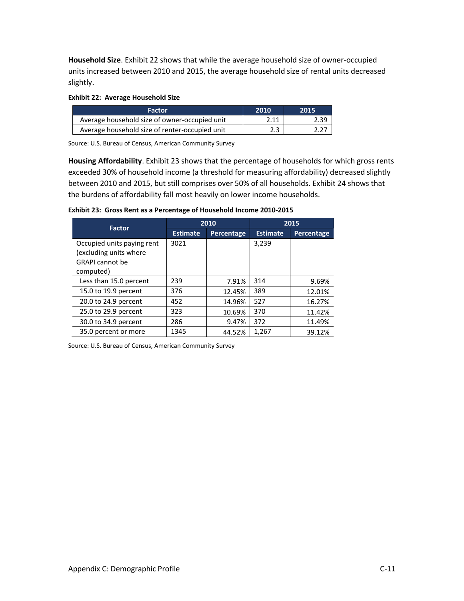**Household Size**. Exhibit 22 shows that while the average household size of owner-occupied units increased between 2010 and 2015, the average household size of rental units decreased slightly.

### **Exhibit 22: Average Household Size**

| <b>Factor</b>                                  | 2010 | .2015 |
|------------------------------------------------|------|-------|
| Average household size of owner-occupied unit  | 2.11 | 2.39  |
| Average household size of renter-occupied unit | 2.3  | 2.27  |

Source: U.S. Bureau of Census, American Community Survey

**Housing Affordability**. Exhibit 23 shows that the percentage of households for which gross rents exceeded 30% of household income (a threshold for measuring affordability) decreased slightly between 2010 and 2015, but still comprises over 50% of all households. Exhibit 24 shows that the burdens of affordability fall most heavily on lower income households.

**Exhibit 23: Gross Rent as a Percentage of Household Income 2010-2015**

| <b>Factor</b>                                                                               |                 | 2010       | 2015            |                   |  |
|---------------------------------------------------------------------------------------------|-----------------|------------|-----------------|-------------------|--|
|                                                                                             | <b>Estimate</b> | Percentage | <b>Estimate</b> | <b>Percentage</b> |  |
| Occupied units paying rent<br>(excluding units where<br><b>GRAPI</b> cannot be<br>computed) | 3021            |            | 3,239           |                   |  |
| Less than 15.0 percent                                                                      | 239             | 7.91%      | 314             | 9.69%             |  |
| 15.0 to 19.9 percent                                                                        | 376             | 12.45%     | 389             | 12.01%            |  |
| 20.0 to 24.9 percent                                                                        | 452             | 14.96%     | 527             | 16.27%            |  |
| 25.0 to 29.9 percent                                                                        | 323             | 10.69%     | 370             | 11.42%            |  |
| 30.0 to 34.9 percent                                                                        | 286             | 9.47%      | 372             | 11.49%            |  |
| 35.0 percent or more                                                                        | 1345            | 44.52%     | 1,267           | 39.12%            |  |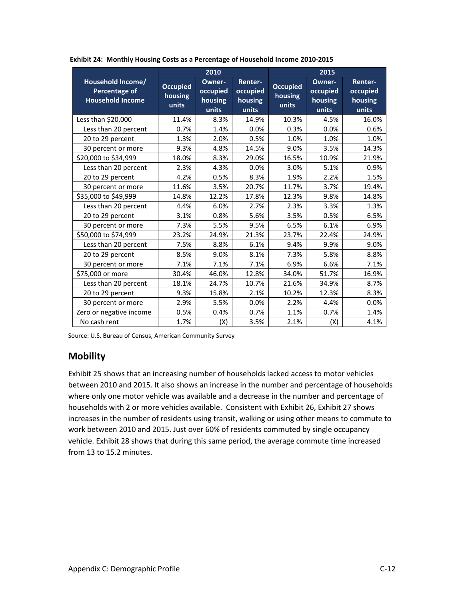|                                                                      | 2010                                |                                        |                                         | 2015                                |                                        |                                         |  |
|----------------------------------------------------------------------|-------------------------------------|----------------------------------------|-----------------------------------------|-------------------------------------|----------------------------------------|-----------------------------------------|--|
| Household Income/<br><b>Percentage of</b><br><b>Household Income</b> | <b>Occupied</b><br>housing<br>units | Owner-<br>occupied<br>housing<br>units | Renter-<br>occupied<br>housing<br>units | <b>Occupied</b><br>housing<br>units | Owner-<br>occupied<br>housing<br>units | Renter-<br>occupied<br>housing<br>units |  |
| Less than \$20,000                                                   | 11.4%                               | 8.3%                                   | 14.9%                                   | 10.3%                               | 4.5%                                   | 16.0%                                   |  |
| Less than 20 percent                                                 | 0.7%                                | 1.4%                                   | 0.0%                                    | 0.3%                                | 0.0%                                   | 0.6%                                    |  |
| 20 to 29 percent                                                     | 1.3%                                | 2.0%                                   | 0.5%                                    | 1.0%                                | 1.0%                                   | 1.0%                                    |  |
| 30 percent or more                                                   | 9.3%                                | 4.8%                                   | 14.5%                                   | 9.0%                                | 3.5%                                   | 14.3%                                   |  |
| \$20,000 to \$34,999                                                 | 18.0%                               | 8.3%                                   | 29.0%                                   | 16.5%                               | 10.9%                                  | 21.9%                                   |  |
| Less than 20 percent                                                 | 2.3%                                | 4.3%                                   | 0.0%                                    | 3.0%                                | 5.1%                                   | 0.9%                                    |  |
| 20 to 29 percent                                                     | 4.2%                                | 0.5%                                   | 8.3%                                    | 1.9%                                | 2.2%                                   | 1.5%                                    |  |
| 30 percent or more                                                   | 11.6%                               | 3.5%                                   | 20.7%                                   | 11.7%                               | 3.7%                                   | 19.4%                                   |  |
| \$35,000 to \$49,999                                                 | 14.8%                               | 12.2%                                  | 17.8%                                   | 12.3%                               | 9.8%                                   | 14.8%                                   |  |
| Less than 20 percent                                                 | 4.4%                                | 6.0%                                   | 2.7%                                    | 2.3%                                | 3.3%                                   | 1.3%                                    |  |
| 20 to 29 percent                                                     | 3.1%                                | 0.8%                                   | 5.6%                                    | 3.5%                                | 0.5%                                   | 6.5%                                    |  |
| 30 percent or more                                                   | 7.3%                                | 5.5%                                   | 9.5%                                    | 6.5%                                | 6.1%                                   | 6.9%                                    |  |
| \$50,000 to \$74,999                                                 | 23.2%                               | 24.9%                                  | 21.3%                                   | 23.7%                               | 22.4%                                  | 24.9%                                   |  |
| Less than 20 percent                                                 | 7.5%                                | 8.8%                                   | 6.1%                                    | 9.4%                                | 9.9%                                   | 9.0%                                    |  |
| 20 to 29 percent                                                     | 8.5%                                | 9.0%                                   | 8.1%                                    | 7.3%                                | 5.8%                                   | 8.8%                                    |  |
| 30 percent or more                                                   | 7.1%                                | 7.1%                                   | 7.1%                                    | 6.9%                                | 6.6%                                   | 7.1%                                    |  |
| \$75,000 or more                                                     | 30.4%                               | 46.0%                                  | 12.8%                                   | 34.0%                               | 51.7%                                  | 16.9%                                   |  |
| Less than 20 percent                                                 | 18.1%                               | 24.7%                                  | 10.7%                                   | 21.6%                               | 34.9%                                  | 8.7%                                    |  |
| 20 to 29 percent                                                     | 9.3%                                | 15.8%                                  | 2.1%                                    | 10.2%                               | 12.3%                                  | 8.3%                                    |  |
| 30 percent or more                                                   | 2.9%                                | 5.5%                                   | 0.0%                                    | 2.2%                                | 4.4%                                   | 0.0%                                    |  |
| Zero or negative income                                              | 0.5%                                | 0.4%                                   | 0.7%                                    | 1.1%                                | 0.7%                                   | 1.4%                                    |  |
| No cash rent                                                         | 1.7%                                | (X)                                    | 3.5%                                    | 2.1%                                | (X)                                    | 4.1%                                    |  |

**Exhibit 24: Monthly Housing Costs as a Percentage of Household Income 2010-2015**

# **Mobility**

Exhibit 25 shows that an increasing number of households lacked access to motor vehicles between 2010 and 2015. It also shows an increase in the number and percentage of households where only one motor vehicle was available and a decrease in the number and percentage of households with 2 or more vehicles available. Consistent with Exhibit 26, Exhibit 27 shows increases in the number of residents using transit, walking or using other means to commute to work between 2010 and 2015. Just over 60% of residents commuted by single occupancy vehicle. Exhibit 28 shows that during this same period, the average commute time increased from 13 to 15.2 minutes.